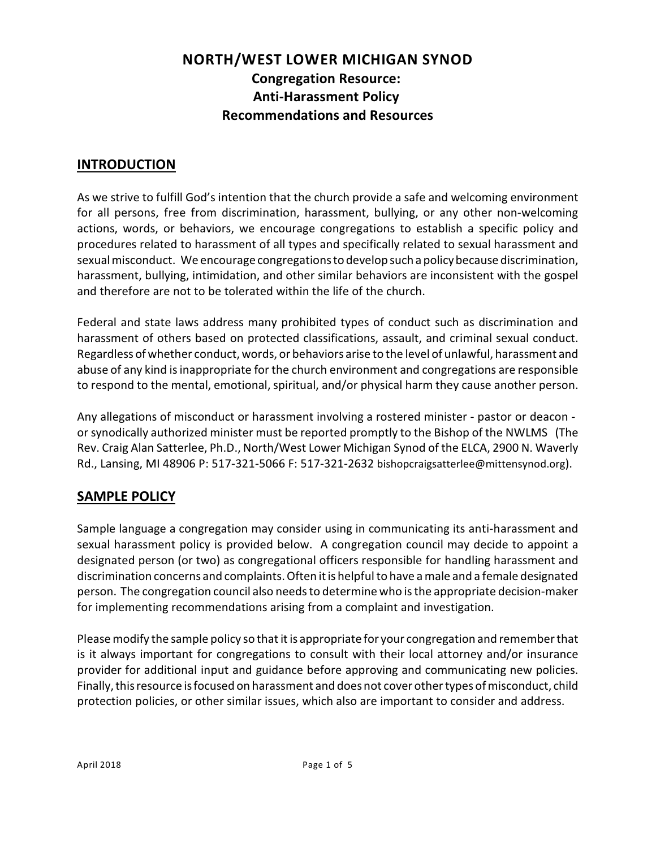# **NORTH/WEST LOWER MICHIGAN SYNOD Congregation Resource: Anti-Harassment Policy Recommendations and Resources**

## **INTRODUCTION**

As we strive to fulfill God's intention that the church provide a safe and welcoming environment for all persons, free from discrimination, harassment, bullying, or any other non-welcoming actions, words, or behaviors, we encourage congregations to establish a specific policy and procedures related to harassment of all types and specifically related to sexual harassment and sexual misconduct. We encourage congregations to develop such a policy because discrimination, harassment, bullying, intimidation, and other similar behaviors are inconsistent with the gospel and therefore are not to be tolerated within the life of the church.

Federal and state laws address many prohibited types of conduct such as discrimination and harassment of others based on protected classifications, assault, and criminal sexual conduct. Regardless of whether conduct,words, or behaviors arise to the level of unlawful, harassment and abuse of any kind is inappropriate for the church environment and congregations are responsible to respond to the mental, emotional, spiritual, and/or physical harm they cause another person.

Any allegations of misconduct or harassment involving a rostered minister - pastor or deacon or synodically authorized minister must be reported promptly to the Bishop of the NWLMS (The Rev. Craig Alan Satterlee, Ph.D., North/West Lower Michigan Synod of the ELCA, 2900 N. Waverly Rd., Lansing, MI 48906 P: 517-321-5066 F: 517-321-2632 bishopcraigsatterlee@mittensynod.org).

## **SAMPLE POLICY**

Sample language a congregation may consider using in communicating its anti-harassment and sexual harassment policy is provided below. A congregation council may decide to appoint a designated person (or two) as congregational officers responsible for handling harassment and discrimination concerns and complaints.Often it is helpful to have a male and a female designated person. The congregation council also needsto determine who is the appropriate decision-maker for implementing recommendations arising from a complaint and investigation.

Please modify the sample policy so that it is appropriate for your congregation and remember that is it always important for congregations to consult with their local attorney and/or insurance provider for additional input and guidance before approving and communicating new policies. Finally, this resource is focused on harassment and does not cover other types of misconduct, child protection policies, or other similar issues, which also are important to consider and address.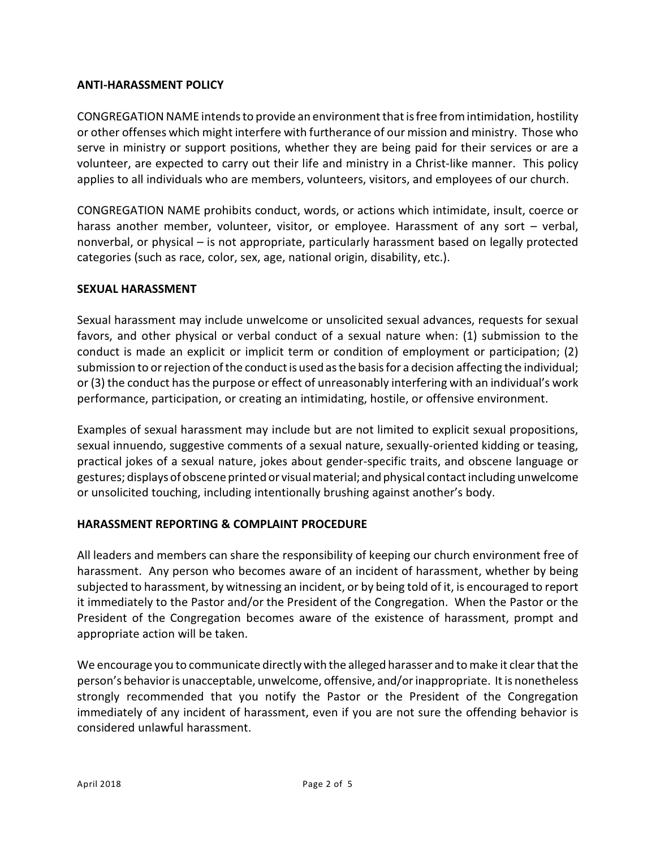### **ANTI-HARASSMENT POLICY**

CONGREGATION NAME intends to provide an environment that isfree fromintimidation, hostility or other offenses which might interfere with furtherance of our mission and ministry. Those who serve in ministry or support positions, whether they are being paid for their services or are a volunteer, are expected to carry out their life and ministry in a Christ-like manner. This policy applies to all individuals who are members, volunteers, visitors, and employees of our church.

CONGREGATION NAME prohibits conduct, words, or actions which intimidate, insult, coerce or harass another member, volunteer, visitor, or employee. Harassment of any sort – verbal, nonverbal, or physical – is not appropriate, particularly harassment based on legally protected categories (such as race, color, sex, age, national origin, disability, etc.).

#### **SEXUAL HARASSMENT**

Sexual harassment may include unwelcome or unsolicited sexual advances, requests for sexual favors, and other physical or verbal conduct of a sexual nature when: (1) submission to the conduct is made an explicit or implicit term or condition of employment or participation; (2) submission to or rejection of the conduct is used as the basis for a decision affecting the individual; or (3) the conduct has the purpose or effect of unreasonably interfering with an individual's work performance, participation, or creating an intimidating, hostile, or offensive environment.

Examples of sexual harassment may include but are not limited to explicit sexual propositions, sexual innuendo, suggestive comments of a sexual nature, sexually-oriented kidding or teasing, practical jokes of a sexual nature, jokes about gender-specific traits, and obscene language or gestures; displays of obscene printed or visual material; and physical contact including unwelcome or unsolicited touching, including intentionally brushing against another's body.

### **HARASSMENT REPORTING & COMPLAINT PROCEDURE**

All leaders and members can share the responsibility of keeping our church environment free of harassment. Any person who becomes aware of an incident of harassment, whether by being subjected to harassment, by witnessing an incident, or by being told of it, is encouraged to report it immediately to the Pastor and/or the President of the Congregation. When the Pastor or the President of the Congregation becomes aware of the existence of harassment, prompt and appropriate action will be taken.

We encourage you to communicate directlywith the alleged harasser and to make it clear that the person's behavior is unacceptable, unwelcome, offensive, and/or inappropriate. It is nonetheless strongly recommended that you notify the Pastor or the President of the Congregation immediately of any incident of harassment, even if you are not sure the offending behavior is considered unlawful harassment.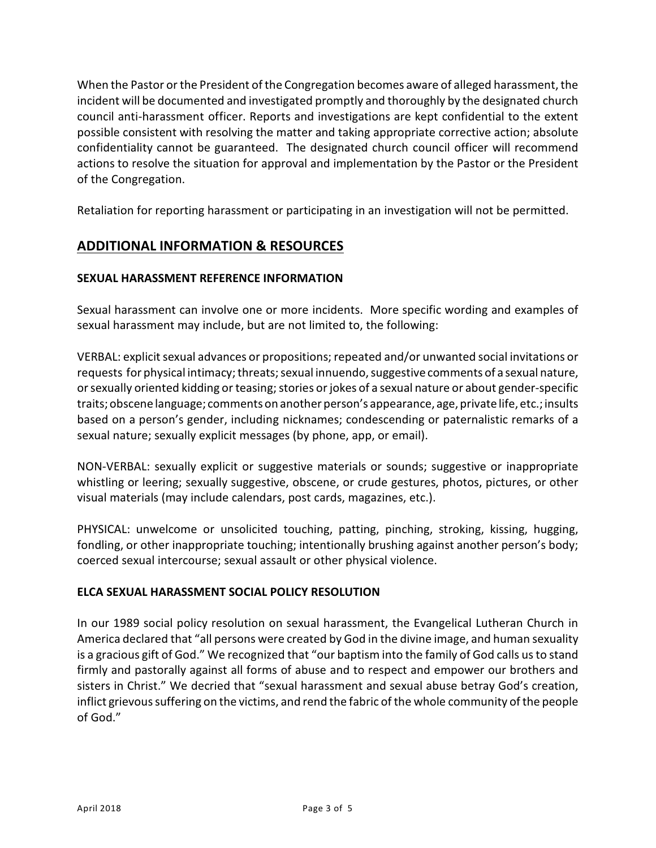When the Pastor or the President of the Congregation becomes aware of alleged harassment, the incident will be documented and investigated promptly and thoroughly by the designated church council anti-harassment officer. Reports and investigations are kept confidential to the extent possible consistent with resolving the matter and taking appropriate corrective action; absolute confidentiality cannot be guaranteed. The designated church council officer will recommend actions to resolve the situation for approval and implementation by the Pastor or the President of the Congregation.

Retaliation for reporting harassment or participating in an investigation will not be permitted.

## **ADDITIONAL INFORMATION & RESOURCES**

### **SEXUAL HARASSMENT REFERENCE INFORMATION**

Sexual harassment can involve one or more incidents. More specific wording and examples of sexual harassment may include, but are not limited to, the following:

VERBAL: explicit sexual advances or propositions; repeated and/or unwanted social invitations or requests for physical intimacy; threats; sexual innuendo, suggestive comments of a sexual nature, or sexually oriented kidding or teasing; stories or jokes of a sexual nature or about gender-specific traits; obscene language; comments on another person's appearance, age, private life, etc.; insults based on a person's gender, including nicknames; condescending or paternalistic remarks of a sexual nature; sexually explicit messages (by phone, app, or email).

NON-VERBAL: sexually explicit or suggestive materials or sounds; suggestive or inappropriate whistling or leering; sexually suggestive, obscene, or crude gestures, photos, pictures, or other visual materials (may include calendars, post cards, magazines, etc.).

PHYSICAL: unwelcome or unsolicited touching, patting, pinching, stroking, kissing, hugging, fondling, or other inappropriate touching; intentionally brushing against another person's body; coerced sexual intercourse; sexual assault or other physical violence.

#### **ELCA SEXUAL HARASSMENT SOCIAL POLICY RESOLUTION**

In our 1989 social policy resolution on sexual harassment, the Evangelical Lutheran Church in America declared that "all persons were created by God in the divine image, and human sexuality is a gracious gift of God." We recognized that "our baptism into the family of God calls us to stand firmly and pastorally against all forms of abuse and to respect and empower our brothers and sisters in Christ." We decried that "sexual harassment and sexual abuse betray God's creation, inflict grievous suffering on the victims, and rend the fabric of the whole community of the people of God."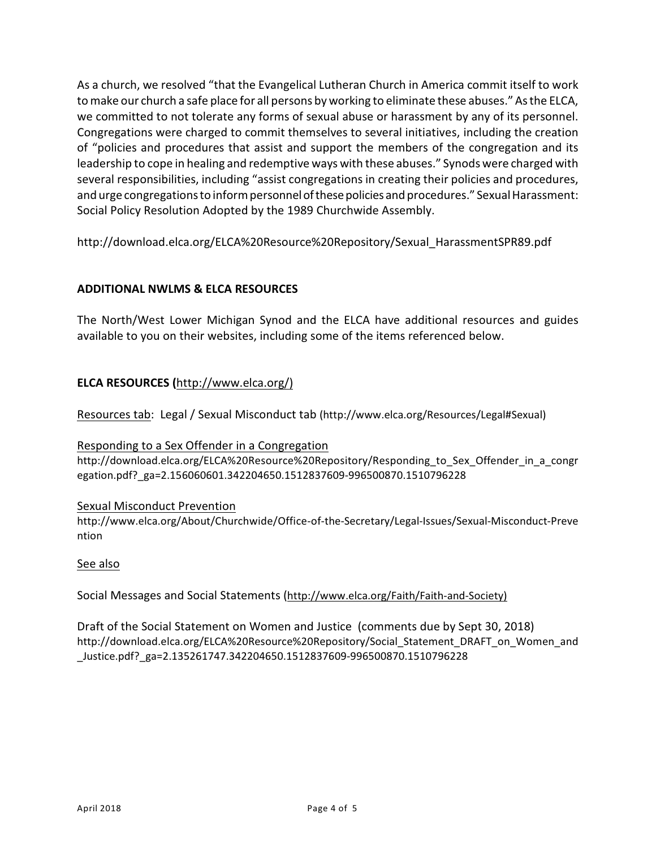As a church, we resolved "that the Evangelical Lutheran Church in America commit itself to work to make our church a safe place for all persons by working to eliminate these abuses." As the ELCA, we committed to not tolerate any forms of sexual abuse or harassment by any of its personnel. Congregations were charged to commit themselves to several initiatives, including the creation of "policies and procedures that assist and support the members of the congregation and its leadership to cope in healing and redemptive ways with these abuses." Synods were charged with several responsibilities, including "assist congregations in creating their policies and procedures, and urge congregations to inform personnel of these policies and procedures." Sexual Harassment: Social Policy Resolution Adopted by the 1989 Churchwide Assembly.

http://download.elca.org/ELCA%20Resource%20Repository/Sexual\_HarassmentSPR89.pdf

### **ADDITIONAL NWLMS & ELCA RESOURCES**

The North/West Lower Michigan Synod and the ELCA have additional resources and guides available to you on their websites, including some of the items referenced below.

### **ELCA RESOURCES (**[http://www.elca.org/\)](http://(http://www.elca.org/))

Resources tab: Legal / Sexual Misconduct tab (http://www.elca.org/Resources/Legal#Sexual)

#### Responding to a Sex Offender in a Congregation

http://download.elca.org/ELCA%20Resource%20Repository/Responding\_to\_Sex\_Offender\_in\_a\_congr egation.pdf?\_ga=2.156060601.342204650.1512837609-996500870.1510796228

#### Sexual Misconduct Prevention

http://www.elca.org/About/Churchwide/Office-of-the-Secretary/Legal-Issues/Sexual-Misconduct-Preve ntion

#### See also

Social Messages and Social Statements ([http://www.elca.org/Faith/Faith-and-Society\)](http://(http://www.elca.org/Faith/Faith-and-Society))

Draft of the Social Statement on Women and Justice (comments due by Sept 30, 2018) http://download.elca.org/ELCA%20Resource%20Repository/Social\_Statement\_DRAFT\_on\_Women\_and \_Justice.pdf?\_ga=2.135261747.342204650.1512837609-996500870.1510796228